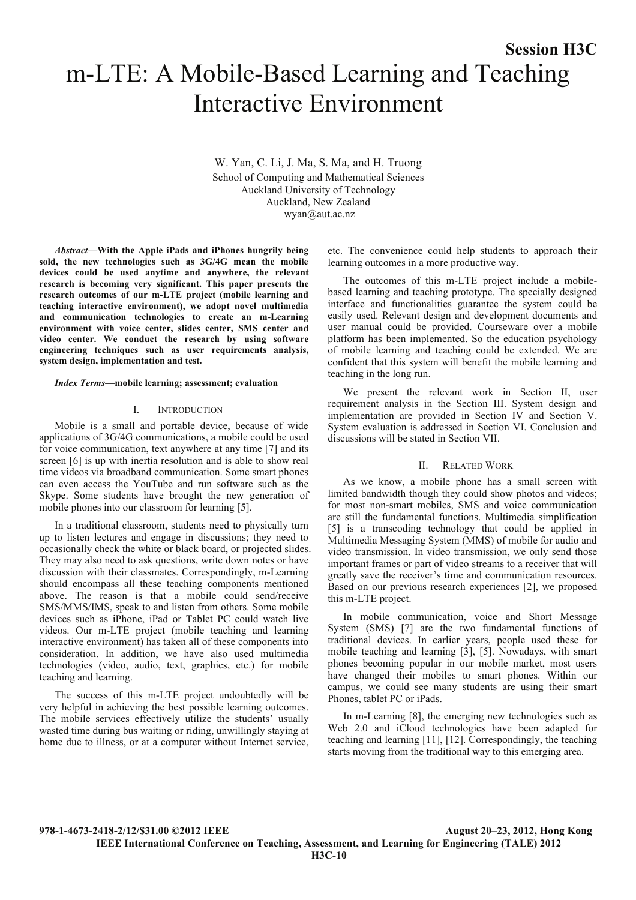**Session H3C**

# m-LTE: A Mobile-Based Learning and Teaching Interactive Environment

W. Yan, C. Li, J. Ma, S. Ma, and H. Truong School of Computing and Mathematical Sciences Auckland University of Technology Auckland, New Zealand wyan@aut.ac.nz

*Abstract***—With the Apple iPads and iPhones hungrily being sold, the new technologies such as 3G/4G mean the mobile devices could be used anytime and anywhere, the relevant research is becoming very significant. This paper presents the research outcomes of our m-LTE project (mobile learning and teaching interactive environment), we adopt novel multimedia and communication technologies to create an m-Learning environment with voice center, slides center, SMS center and video center. We conduct the research by using software engineering techniques such as user requirements analysis, system design, implementation and test.**

#### *Index Terms—***mobile learning; assessment; evaluation**

#### I. INTRODUCTION

Mobile is a small and portable device, because of wide applications of 3G/4G communications, a mobile could be used for voice communication, text anywhere at any time [7] and its screen [6] is up with inertia resolution and is able to show real time videos via broadband communication. Some smart phones can even access the YouTube and run software such as the Skype. Some students have brought the new generation of mobile phones into our classroom for learning [5].

In a traditional classroom, students need to physically turn up to listen lectures and engage in discussions; they need to occasionally check the white or black board, or projected slides. They may also need to ask questions, write down notes or have discussion with their classmates. Correspondingly, m-Learning should encompass all these teaching components mentioned above. The reason is that a mobile could send/receive SMS/MMS/IMS, speak to and listen from others. Some mobile devices such as iPhone, iPad or Tablet PC could watch live videos. Our m-LTE project (mobile teaching and learning interactive environment) has taken all of these components into consideration. In addition, we have also used multimedia technologies (video, audio, text, graphics, etc.) for mobile teaching and learning.

The success of this m-LTE project undoubtedly will be very helpful in achieving the best possible learning outcomes. The mobile services effectively utilize the students' usually wasted time during bus waiting or riding, unwillingly staying at home due to illness, or at a computer without Internet service,

etc. The convenience could help students to approach their learning outcomes in a more productive way.

The outcomes of this m-LTE project include a mobilebased learning and teaching prototype. The specially designed interface and functionalities guarantee the system could be easily used. Relevant design and development documents and user manual could be provided. Courseware over a mobile platform has been implemented. So the education psychology of mobile learning and teaching could be extended. We are confident that this system will benefit the mobile learning and teaching in the long run.

We present the relevant work in Section II, user requirement analysis in the Section III. System design and implementation are provided in Section IV and Section V. System evaluation is addressed in Section VI. Conclusion and discussions will be stated in Section VII.

# II. RELATED WORK

As we know, a mobile phone has a small screen with limited bandwidth though they could show photos and videos; for most non-smart mobiles, SMS and voice communication are still the fundamental functions. Multimedia simplification [5] is a transcoding technology that could be applied in Multimedia Messaging System (MMS) of mobile for audio and video transmission. In video transmission, we only send those important frames or part of video streams to a receiver that will greatly save the receiver's time and communication resources. Based on our previous research experiences [2], we proposed this m-LTE project.

In mobile communication, voice and Short Message System (SMS) [7] are the two fundamental functions of traditional devices. In earlier years, people used these for mobile teaching and learning [3], [5]. Nowadays, with smart phones becoming popular in our mobile market, most users have changed their mobiles to smart phones. Within our campus, we could see many students are using their smart Phones, tablet PC or iPads.

In m-Learning [8], the emerging new technologies such as Web 2.0 and iCloud technologies have been adapted for teaching and learning [11], [12]. Correspondingly, the teaching starts moving from the traditional way to this emerging area.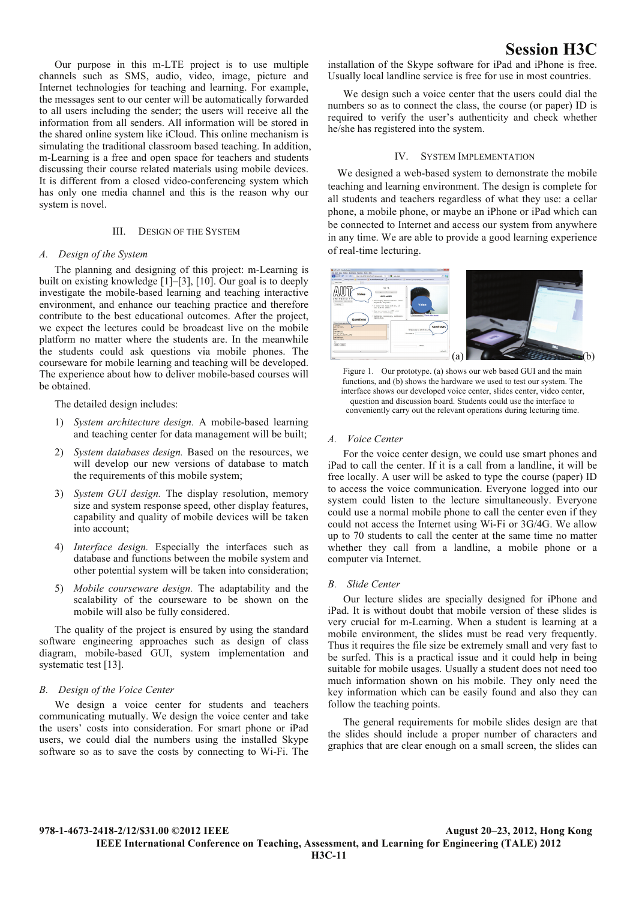discussing their course related materials using mobile devices. It is different from a closed video-conferencing system which has only one media channel and this is the reason why our system is novel.

### III. DESIGN OF THE SYSTEM

#### *A. Design of the System*

The planning and designing of this project: m-Learning is built on existing knowledge [1]–[3], [10]. Our goal is to deeply investigate the mobile-based learning and teaching interactive environment, and enhance our teaching practice and therefore contribute to the best educational outcomes. After the project, we expect the lectures could be broadcast live on the mobile platform no matter where the students are. In the meanwhile the students could ask questions via mobile phones. The courseware for mobile learning and teaching will be developed. The experience about how to deliver mobile-based courses will be obtained.

The detailed design includes:

- 1) *System architecture design.* A mobile-based learning and teaching center for data management will be built;
- 2) *System databases design.* Based on the resources, we will develop our new versions of database to match the requirements of this mobile system;
- 3) *System GUI design.* The display resolution, memory size and system response speed, other display features, capability and quality of mobile devices will be taken into account;
- 4) *Interface design.* Especially the interfaces such as database and functions between the mobile system and other potential system will be taken into consideration;
- 5) *Mobile courseware design.* The adaptability and the scalability of the courseware to be shown on the mobile will also be fully considered.

The quality of the project is ensured by using the standard software engineering approaches such as design of class diagram, mobile-based GUI, system implementation and systematic test [13].

# *B. Design of the Voice Center*

We design a voice center for students and teachers communicating mutually. We design the voice center and take the users' costs into consideration. For smart phone or iPad users, we could dial the numbers using the installed Skype software so as to save the costs by connecting to Wi-Fi. The

installation of the Skype software for iPad and iPhone is free. Usually local landline service is free for use in most countries.

We design such a voice center that the users could dial the numbers so as to connect the class, the course (or paper) ID is required to verify the user's authenticity and check whether he/she has registered into the system.

### IV. SYSTEM IMPLEMENTATION

We designed a web-based system to demonstrate the mobile teaching and learning environment. The design is complete for all students and teachers regardless of what they use: a cellar phone, a mobile phone, or maybe an iPhone or iPad which can be connected to Internet and access our system from anywhere in any time. We are able to provide a good learning experience of real-time lecturing.



Figure 1. Our prototype. (a) shows our web based GUI and the main functions, and (b) shows the hardware we used to test our system. The interface shows our developed voice center, slides center, video center, question and discussion board. Students could use the interface to conveniently carry out the relevant operations during lecturing time.

# *A. Voice Center*

For the voice center design, we could use smart phones and iPad to call the center. If it is a call from a landline, it will be free locally. A user will be asked to type the course (paper) ID to access the voice communication. Everyone logged into our system could listen to the lecture simultaneously. Everyone could use a normal mobile phone to call the center even if they could not access the Internet using Wi-Fi or 3G/4G. We allow up to 70 students to call the center at the same time no matter whether they call from a landline, a mobile phone or a computer via Internet.

#### *B. Slide Center*

Our lecture slides are specially designed for iPhone and iPad. It is without doubt that mobile version of these slides is very crucial for m-Learning. When a student is learning at a mobile environment, the slides must be read very frequently. Thus it requires the file size be extremely small and very fast to be surfed. This is a practical issue and it could help in being suitable for mobile usages. Usually a student does not need too much information shown on his mobile. They only need the key information which can be easily found and also they can follow the teaching points.

The general requirements for mobile slides design are that the slides should include a proper number of characters and graphics that are clear enough on a small screen, the slides can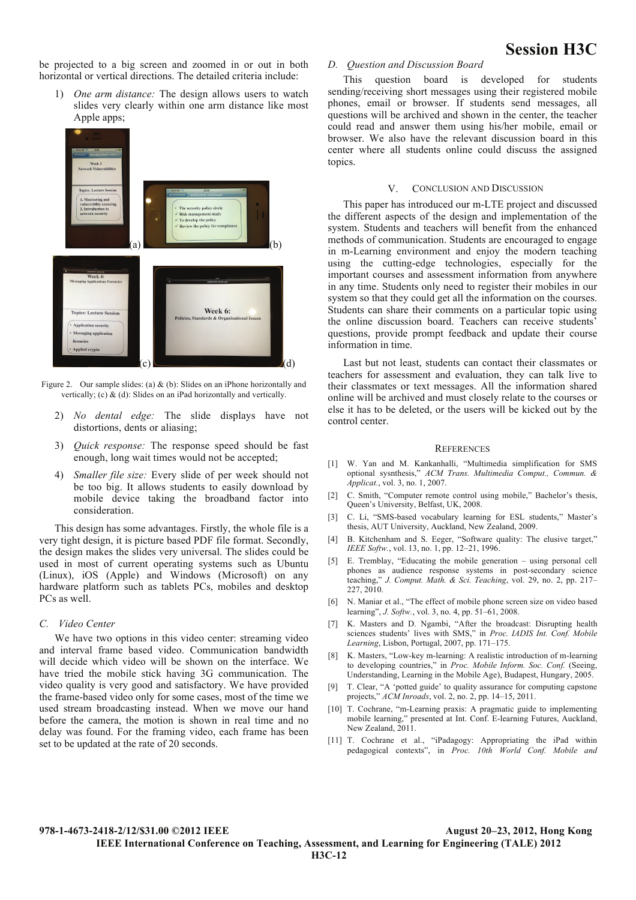# **Session H3C**

be projected to a big screen and zoomed in or out in both horizontal or vertical directions. The detailed criteria include:

*One arm distance:* The design allows users to watch slides very clearly within one arm distance like most Apple apps;



Figure 2. Our sample slides: (a) & (b): Slides on an iPhone horizontally and vertically; (c) & (d): Slides on an iPad horizontally and vertically.

- 2) *No dental edge:* The slide displays have not distortions, dents or aliasing;
- 3) *Quick response:* The response speed should be fast enough, long wait times would not be accepted;
- 4) *Smaller file size:* Every slide of per week should not be too big. It allows students to easily download by mobile device taking the broadband factor into consideration.

This design has some advantages. Firstly, the whole file is a very tight design, it is picture based PDF file format. Secondly, the design makes the slides very universal. The slides could be used in most of current operating systems such as Ubuntu (Linux), iOS (Apple) and Windows (Microsoft) on any hardware platform such as tablets PCs, mobiles and desktop PCs as well.

# *C. Video Center*

We have two options in this video center: streaming video and interval frame based video. Communication bandwidth will decide which video will be shown on the interface. We have tried the mobile stick having 3G communication. The video quality is very good and satisfactory. We have provided the frame-based video only for some cases, most of the time we used stream broadcasting instead. When we move our hand before the camera, the motion is shown in real time and no delay was found. For the framing video, each frame has been set to be updated at the rate of 20 seconds.

## *D. Question and Discussion Board*

This question board is developed for students sending/receiving short messages using their registered mobile phones, email or browser. If students send messages, all questions will be archived and shown in the center, the teacher could read and answer them using his/her mobile, email or browser. We also have the relevant discussion board in this center where all students online could discuss the assigned topics.

#### V. CONCLUSION AND DISCUSSION

This paper has introduced our m-LTE project and discussed the different aspects of the design and implementation of the system. Students and teachers will benefit from the enhanced methods of communication. Students are encouraged to engage in m-Learning environment and enjoy the modern teaching using the cutting-edge technologies, especially for the important courses and assessment information from anywhere in any time. Students only need to register their mobiles in our system so that they could get all the information on the courses. Students can share their comments on a particular topic using the online discussion board. Teachers can receive students' questions, provide prompt feedback and update their course information in time.

Last but not least, students can contact their classmates or teachers for assessment and evaluation, they can talk live to their classmates or text messages. All the information shared online will be archived and must closely relate to the courses or else it has to be deleted, or the users will be kicked out by the control center.

#### **REFERENCES**

- [1] W. Yan and M. Kankanhalli, "Multimedia simplification for SMS optional sysnthesis," *ACM Trans. Multimedia Comput., Commun. & Applicat.*, vol. 3, no. 1, 2007.
- [2] C. Smith, "Computer remote control using mobile," Bachelor's thesis, Queen's University, Belfast, UK, 2008.
- [3] C. Li, "SMS-based vocabulary learning for ESL students," Master's thesis, AUT University, Auckland, New Zealand, 2009.
- [4] B. Kitchenham and S. Eeger, "Software quality: The elusive target," *IEEE Softw.*, vol. 13, no. 1, pp. 12–21, 1996.
- [5] E. Tremblay, "Educating the mobile generation using personal cell phones as audience response systems in post-secondary science teaching," *J. Comput. Math. & Sci. Teaching*, vol. 29, no. 2, pp. 217– 227, 2010.
- [6] N. Maniar et al., "The effect of mobile phone screen size on video based learning", *J. Softw.*, vol. 3, no. 4, pp. 51–61, 2008.
- [7] K. Masters and D. Ngambi, "After the broadcast: Disrupting health sciences students' lives with SMS," in *Proc. IADIS Int. Conf. Mobile Learning*, Lisbon, Portugal, 2007, pp. 171–175.
- [8] K. Masters, "Low-key m-learning: A realistic introduction of m-learning to developing countries," in *Proc. Mobile Inform. Soc. Conf.* (Seeing, Understanding, Learning in the Mobile Age), Budapest, Hungary, 2005.
- [9] T. Clear, "A 'potted guide' to quality assurance for computing capstone projects," *ACM Inroads*, vol. 2, no. 2, pp. 14–15, 2011.
- [10] T. Cochrane, "m-Learning praxis: A pragmatic guide to implementing mobile learning," presented at Int. Conf. E-learning Futures, Auckland, New Zealand, 2011.
- [11] T. Cochrane et al., "iPadagogy: Appropriating the iPad within pedagogical contexts", in *Proc. 10th World Conf. Mobile and*

## **978-1-4673-2418-2/12/\$31.00 ©2012 IEEE August 20–23, 2012, Hong Kong IEEE International Conference on Teaching, Assessment, and Learning for Engineering (TALE) 2012 H3C-12**